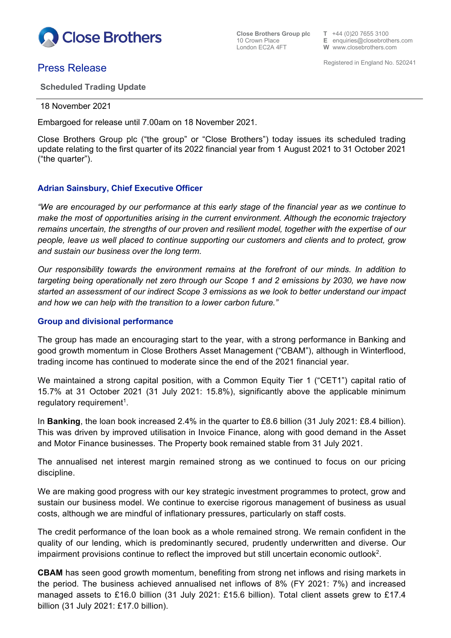

**Close Brothers Group plc**  $\qquad$  **T**  $+44$  (0)20 7655 3100<br>10 Crown Place **E** enquiries @ closebrother 10 Crown Place **E** enquiries@closebrothers.com

**W** www.closebrothers.com

# **Press Release**<br> **Press Release**

**Scheduled Trading Update**

18 November 2021

Embargoed for release until 7.00am on 18 November 2021.

Close Brothers Group plc ("the group" or "Close Brothers") today issues its scheduled trading update relating to the first quarter of its 2022 financial year from 1 August 2021 to 31 October 2021 ("the quarter").

## **Adrian Sainsbury, Chief Executive Officer**

*"We are encouraged by our performance at this early stage of the financial year as we continue to make the most of opportunities arising in the current environment. Although the economic trajectory remains uncertain, the strengths of our proven and resilient model, together with the expertise of our people, leave us well placed to continue supporting our customers and clients and to protect, grow and sustain our business over the long term.*

*Our responsibility towards the environment remains at the forefront of our minds. In addition to targeting being operationally net zero through our Scope 1 and 2 emissions by 2030, we have now started an assessment of our indirect Scope 3 emissions as we look to better understand our impact and how we can help with the transition to a lower carbon future."*

## **Group and divisional performance**

The group has made an encouraging start to the year, with a strong performance in Banking and good growth momentum in Close Brothers Asset Management ("CBAM"), although in Winterflood, trading income has continued to moderate since the end of the 2021 financial year.

We maintained a strong capital position, with a Common Equity Tier 1 ("CET1") capital ratio of 15.7% at 31 October 2021 (31 July 2021: 15.8%), significantly above the applicable minimum regulatory requirement $^{\text{\tiny{\text{\tiny{1}}}}}$ .

In **Banking**, the loan book increased 2.4% in the quarter to £8.6 billion (31 July 2021: £8.4 billion). This was driven by improved utilisation in Invoice Finance, along with good demand in the Asset and Motor Finance businesses. The Property book remained stable from 31 July 2021.

The annualised net interest margin remained strong as we continued to focus on our pricing discipline.

We are making good progress with our key strategic investment programmes to protect, grow and sustain our business model. We continue to exercise rigorous management of business as usual costs, although we are mindful of inflationary pressures, particularly on staff costs.

The credit performance of the loan book as a whole remained strong. We remain confident in the quality of our lending, which is predominantly secured, prudently underwritten and diverse. Our impairment provisions continue to reflect the improved but still uncertain economic outlook2.

**CBAM** has seen good growth momentum, benefiting from strong net inflows and rising markets in the period. The business achieved annualised net inflows of 8% (FY 2021: 7%) and increased managed assets to £16.0 billion (31 July 2021: £15.6 billion). Total client assets grew to £17.4 billion (31 July 2021: £17.0 billion).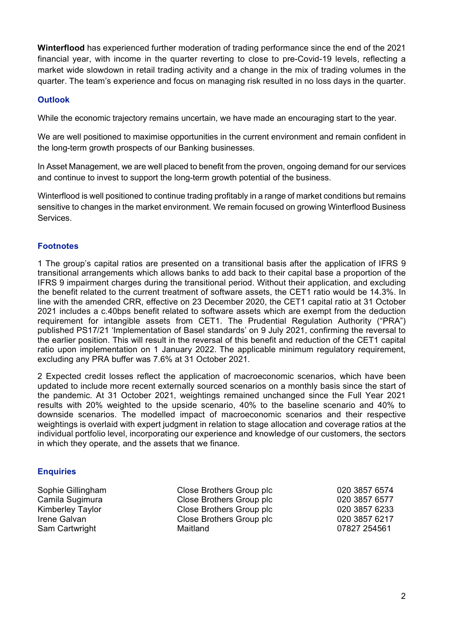**Winterflood** has experienced further moderation of trading performance since the end of the 2021 financial year, with income in the quarter reverting to close to pre-Covid-19 levels, reflecting a market wide slowdown in retail trading activity and a change in the mix of trading volumes in the quarter. The team's experience and focus on managing risk resulted in no loss days in the quarter.

## **Outlook**

While the economic trajectory remains uncertain, we have made an encouraging start to the year.

We are well positioned to maximise opportunities in the current environment and remain confident in the long-term growth prospects of our Banking businesses.

In Asset Management, we are well placed to benefit from the proven, ongoing demand for our services and continue to invest to support the long-term growth potential of the business.

Winterflood is well positioned to continue trading profitably in a range of market conditions but remains sensitive to changes in the market environment. We remain focused on growing Winterflood Business Services.

## **Footnotes**

1 The group's capital ratios are presented on a transitional basis after the application of IFRS 9 transitional arrangements which allows banks to add back to their capital base a proportion of the IFRS 9 impairment charges during the transitional period. Without their application, and excluding the benefit related to the current treatment of software assets, the CET1 ratio would be 14.3%. In line with the amended CRR, effective on 23 December 2020, the CET1 capital ratio at 31 October 2021 includes a c.40bps benefit related to software assets which are exempt from the deduction requirement for intangible assets from CET1. The Prudential Regulation Authority ("PRA") published PS17/21 'Implementation of Basel standards' on 9 July 2021, confirming the reversal to the earlier position. This will result in the reversal of this benefit and reduction of the CET1 capital ratio upon implementation on 1 January 2022. The applicable minimum regulatory requirement, excluding any PRA buffer was 7.6% at 31 October 2021.

2 Expected credit losses reflect the application of macroeconomic scenarios, which have been updated to include more recent externally sourced scenarios on a monthly basis since the start of the pandemic. At 31 October 2021, weightings remained unchanged since the Full Year 2021 results with 20% weighted to the upside scenario, 40% to the baseline scenario and 40% to downside scenarios. The modelled impact of macroeconomic scenarios and their respective weightings is overlaid with expert judgment in relation to stage allocation and coverage ratios at the individual portfolio level, incorporating our experience and knowledge of our customers, the sectors in which they operate, and the assets that we finance.

## **Enquiries**

Sam Cartwright

Sophie Gillingham Close Brothers Group plc 020 3857 6574 Camila Sugimura Close Brothers Group plc 020 3857 6577 Close Brothers Group plc Irene Galvan Close Brothers Group plc 020 3857 6217